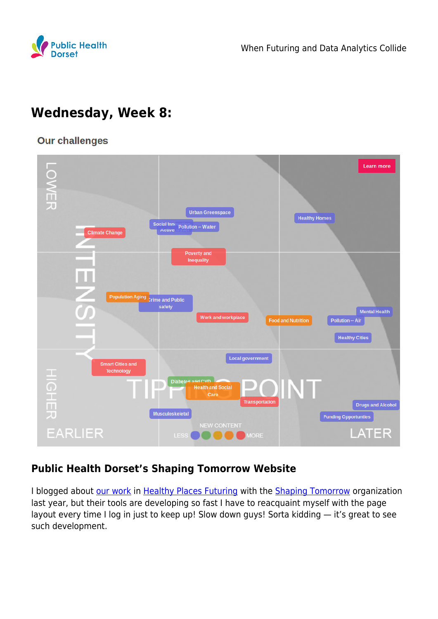

# **Wednesday, Week 8:**

#### **Our challenges**



### **Public Health Dorset's Shaping Tomorrow Website**

I blogged about [our work](https://phd.shapingtomorrow.com/home) in [Healthy Places Futuring](https://www.publichealthdorset.org.uk/is-it-possible-for-a-group-of-colleagues-to-get-together-develop-a-vision-of-what-we-want-our-future-to-look-like-and-then-actually-develop-strategies-to-work-towards-it/) with the [Shaping Tomorrow](https://shapingtomorrow.com/home) organization last year, but their tools are developing so fast I have to reacquaint myself with the page layout every time I log in just to keep up! Slow down guys! Sorta kidding — it's great to see such development.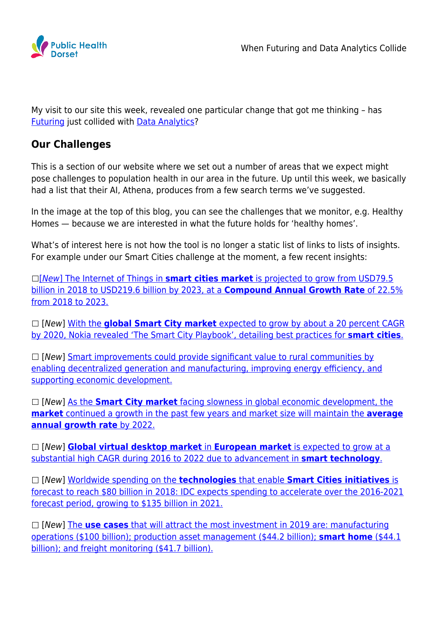

My visit to our site this week, revealed one particular change that got me thinking – has [Futuring](https://en.wikipedia.org/wiki/Futures_studies) just collided with [Data Analytics](https://en.wikipedia.org/wiki/Analytics)?

#### **Our Challenges**

This is a section of our website where we set out a number of areas that we expect might pose challenges to population health in our area in the future. Up until this week, we basically had a list that their AI, Athena, produces from a few search terms we've suggested.

In the image at the top of this blog, you can see the challenges that we monitor, e.g. Healthy Homes — because we are interested in what the future holds for 'healthy homes'.

What's of interest here is not how the tool is no longer a static list of links to lists of insights. For example under our Smart Cities challenge at the moment, a few recent insights:

[\[](https://www.healthcareitnews.com/news/ge-launches-new-edison-platform-ai-apps)[New](https://www.healthcareitnews.com/news/ge-launches-new-edison-platform-ai-apps)[\]](https://www.healthcareitnews.com/news/ge-launches-new-edison-platform-ai-apps) [The Internet of Things in](https://www.tmcnet.com/usubmit/-global-iot-smart-cities-market-report-2019-2023-/2019/02/12/8899174.htm) **[smart cities market](https://www.tmcnet.com/usubmit/-global-iot-smart-cities-market-report-2019-2023-/2019/02/12/8899174.htm)** [is projected to grow from USD79.5](https://www.tmcnet.com/usubmit/-global-iot-smart-cities-market-report-2019-2023-/2019/02/12/8899174.htm) [billion in 2018 to USD219.6 billion by 2023, at a](https://www.tmcnet.com/usubmit/-global-iot-smart-cities-market-report-2019-2023-/2019/02/12/8899174.htm) **[Compound Annual Growth Rate](https://www.tmcnet.com/usubmit/-global-iot-smart-cities-market-report-2019-2023-/2019/02/12/8899174.htm)** [of 22.5%](https://www.tmcnet.com/usubmit/-global-iot-smart-cities-market-report-2019-2023-/2019/02/12/8899174.htm) [from 2018 to 2023.](https://www.tmcnet.com/usubmit/-global-iot-smart-cities-market-report-2019-2023-/2019/02/12/8899174.htm)

 [New] [With the](http://www.urbangateway.org/news/nokia-reveals-22-smart-city-practices) **[global Smart City market](http://www.urbangateway.org/news/nokia-reveals-22-smart-city-practices)** [expected to grow by about a 20 percent CAGR](http://www.urbangateway.org/news/nokia-reveals-22-smart-city-practices) [by 2020, Nokia revealed 'The Smart City Playbook', detailing best practices for](http://www.urbangateway.org/news/nokia-reveals-22-smart-city-practices) **[smart cities](http://www.urbangateway.org/news/nokia-reveals-22-smart-city-practices)**[.](http://www.urbangateway.org/news/nokia-reveals-22-smart-city-practices)

 $\Box$  [New] [Smart improvements could provide significant value to rural communities by](http://www.b-t.energy/wp-content/uploads/2019/02/Exec-Summary_-Advancing-the-Landscape-of-Clean-Energy-Innovation_2019.pdf) [enabling decentralized generation and manufacturing, improving energy efficiency, and](http://www.b-t.energy/wp-content/uploads/2019/02/Exec-Summary_-Advancing-the-Landscape-of-Clean-Energy-Innovation_2019.pdf) [supporting economic development.](http://www.b-t.energy/wp-content/uploads/2019/02/Exec-Summary_-Advancing-the-Landscape-of-Clean-Energy-Innovation_2019.pdf)

 [New] [As the](https://b2breportsnews.com/15973/global-smart-city-market-2018-2022-key-players-manufacturers-analysis-trends-share-segmentation-industry-size/) **[Smart City market](https://b2breportsnews.com/15973/global-smart-city-market-2018-2022-key-players-manufacturers-analysis-trends-share-segmentation-industry-size/)** [facing slowness in global economic development, the](https://b2breportsnews.com/15973/global-smart-city-market-2018-2022-key-players-manufacturers-analysis-trends-share-segmentation-industry-size/) **[market](https://b2breportsnews.com/15973/global-smart-city-market-2018-2022-key-players-manufacturers-analysis-trends-share-segmentation-industry-size/)** [continued a growth in the past few years and market size will maintain the](https://b2breportsnews.com/15973/global-smart-city-market-2018-2022-key-players-manufacturers-analysis-trends-share-segmentation-industry-size/) **[average](https://b2breportsnews.com/15973/global-smart-city-market-2018-2022-key-players-manufacturers-analysis-trends-share-segmentation-industry-size/) [annual growth rate](https://b2breportsnews.com/15973/global-smart-city-market-2018-2022-key-players-manufacturers-analysis-trends-share-segmentation-industry-size/)** [by 2022.](https://b2breportsnews.com/15973/global-smart-city-market-2018-2022-key-players-manufacturers-analysis-trends-share-segmentation-industry-size/)

 [New] **[Global virtual desktop market](http://www.abnewswire.com/pressreleases/virtual-desktop-market-2019-global-analysis-by-opportunities-size-share-growth-factors-regional-and-competitive-landscape-forecast-to-2022_317845.html)** [in](http://www.abnewswire.com/pressreleases/virtual-desktop-market-2019-global-analysis-by-opportunities-size-share-growth-factors-regional-and-competitive-landscape-forecast-to-2022_317845.html) **[European market](http://www.abnewswire.com/pressreleases/virtual-desktop-market-2019-global-analysis-by-opportunities-size-share-growth-factors-regional-and-competitive-landscape-forecast-to-2022_317845.html)** [is expected to grow at a](http://www.abnewswire.com/pressreleases/virtual-desktop-market-2019-global-analysis-by-opportunities-size-share-growth-factors-regional-and-competitive-landscape-forecast-to-2022_317845.html) [substantial high CAGR during 2016 to 2022 due to advancement in](http://www.abnewswire.com/pressreleases/virtual-desktop-market-2019-global-analysis-by-opportunities-size-share-growth-factors-regional-and-competitive-landscape-forecast-to-2022_317845.html) **[smart technology](http://www.abnewswire.com/pressreleases/virtual-desktop-market-2019-global-analysis-by-opportunities-size-share-growth-factors-regional-and-competitive-landscape-forecast-to-2022_317845.html)**[.](http://www.abnewswire.com/pressreleases/virtual-desktop-market-2019-global-analysis-by-opportunities-size-share-growth-factors-regional-and-competitive-landscape-forecast-to-2022_317845.html)

 [New] [Worldwide spending on the](https://www.idc.com/getdoc.jsp?containerId=prUS43576718) **[technologies](https://www.idc.com/getdoc.jsp?containerId=prUS43576718)** [that enable](https://www.idc.com/getdoc.jsp?containerId=prUS43576718) **[Smart Cities initiatives](https://www.idc.com/getdoc.jsp?containerId=prUS43576718)** [is](https://www.idc.com/getdoc.jsp?containerId=prUS43576718) [forecast to reach \\$80 billion in 2018: IDC expects spending to accelerate over the 2016-2021](https://www.idc.com/getdoc.jsp?containerId=prUS43576718) [forecast period, growing to \\$135 billion in 2021.](https://www.idc.com/getdoc.jsp?containerId=prUS43576718)

 [New] [The](https://www.mobileeurope.co.uk/press-wire/digital-transformation-survey-will-iot-speed-up-in-2019) **[use cases](https://www.mobileeurope.co.uk/press-wire/digital-transformation-survey-will-iot-speed-up-in-2019)** [that will attract the most investment in 2019 are: manufacturing](https://www.mobileeurope.co.uk/press-wire/digital-transformation-survey-will-iot-speed-up-in-2019) [operations \(\\$100 billion\); production asset management \(\\$44.2 billion\);](https://www.mobileeurope.co.uk/press-wire/digital-transformation-survey-will-iot-speed-up-in-2019) **[smart home](https://www.mobileeurope.co.uk/press-wire/digital-transformation-survey-will-iot-speed-up-in-2019)** [\(\\$44.1](https://www.mobileeurope.co.uk/press-wire/digital-transformation-survey-will-iot-speed-up-in-2019) [billion\); and freight monitoring \(\\$41.7 billion\).](https://www.mobileeurope.co.uk/press-wire/digital-transformation-survey-will-iot-speed-up-in-2019)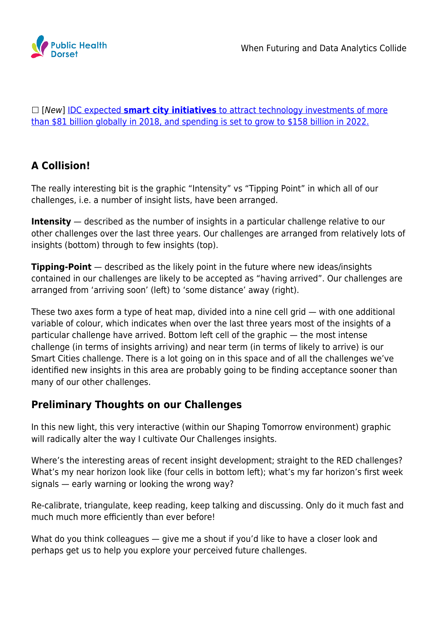

 [New] [IDC expected](https://statetechmagazine.com/article/2019/01/botnet-attacks-how-city-governments-can-defend-against-ddos-attacks-fueled-iot-botnets-perfcon) **[smart city initiatives](https://statetechmagazine.com/article/2019/01/botnet-attacks-how-city-governments-can-defend-against-ddos-attacks-fueled-iot-botnets-perfcon)** [to attract technology investments of more](https://statetechmagazine.com/article/2019/01/botnet-attacks-how-city-governments-can-defend-against-ddos-attacks-fueled-iot-botnets-perfcon) [than \\$81 billion globally in 2018, and spending is set to grow to \\$158 billion in 2022.](https://statetechmagazine.com/article/2019/01/botnet-attacks-how-city-governments-can-defend-against-ddos-attacks-fueled-iot-botnets-perfcon)

## **A Collision!**

The really interesting bit is the graphic "Intensity" vs "Tipping Point" in which all of our challenges, i.e. a number of insight lists, have been arranged.

**Intensity** — described as the number of insights in a particular challenge relative to our other challenges over the last three years. Our challenges are arranged from relatively lots of insights (bottom) through to few insights (top).

**Tipping-Point** — described as the likely point in the future where new ideas/insights contained in our challenges are likely to be accepted as "having arrived". Our challenges are arranged from 'arriving soon' (left) to 'some distance' away (right).

These two axes form a type of heat map, divided into a nine cell grid — with one additional variable of colour, which indicates when over the last three years most of the insights of a particular challenge have arrived. Bottom left cell of the graphic — the most intense challenge (in terms of insights arriving) and near term (in terms of likely to arrive) is our Smart Cities challenge. There is a lot going on in this space and of all the challenges we've identified new insights in this area are probably going to be finding acceptance sooner than many of our other challenges.

### **Preliminary Thoughts on our Challenges**

In this new light, this very interactive (within our Shaping Tomorrow environment) graphic will radically alter the way I cultivate Our Challenges insights.

Where's the interesting areas of recent insight development; straight to the RED challenges? What's my near horizon look like (four cells in bottom left); what's my far horizon's first week signals — early warning or looking the wrong way?

Re-calibrate, triangulate, keep reading, keep talking and discussing. Only do it much fast and much much more efficiently than ever before!

What do you think colleagues — give me a shout if you'd like to have a closer look and perhaps get us to help you explore your perceived future challenges.